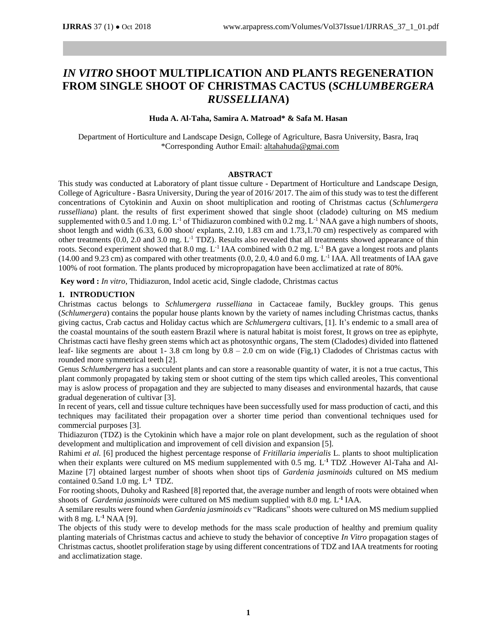# *IN VITRO* **SHOOT MULTIPLICATION AND PLANTS REGENERATION FROM SINGLE SHOOT OF CHRISTMAS CACTUS (***SCHLUMBERGERA RUSSELLIANA***)**

#### **Huda A. Al-Taha, Samira A. Matroad\* & Safa M. Hasan**

Department of Horticulture and Landscape Design, College of Agriculture, Basra University, Basra, Iraq \*Corresponding Author Email[: altahahuda@gmai.com](mailto:altahahuda@gmai.com)

# **ABSTRACT**

This study was conducted at Laboratory of plant tissue culture - Department of Horticulture and Landscape Design, College of Agriculture - Basra University, During the year of 2016/ 2017. The aim of this study was to test the different concentrations of Cytokinin and Auxin on shoot multiplication and rooting of Christmas cactus (*Schlumergera russelliana*) plant. the results of first experiment showed that single shoot (cladode) culturing on MS medium supplemented with 0.5 and 1.0 mg.  $L^{-1}$  of Thidiazuron combined with 0.2 mg.  $L^{-1}$  NAA gave a high numbers of shoots, shoot length and width (6.33, 6.00 shoot/ explants, 2.10, 1.83 cm and 1.73,1.70 cm) respectively as compared with other treatments  $(0.0, 2.0 \text{ and } 3.0 \text{ mg}, L^{-1} \text{ TDZ})$ . Results also revealed that all treatments showed appearance of thin roots. Second experiment showed that 8.0 mg.  $L^{-1}$  IAA combined with 0.2 mg.  $L^{-1}$  BA gave a longest roots and plants  $(14.00 \text{ and } 9.23 \text{ cm})$  as compared with other treatments  $(0.0, 2.0, 4.0 \text{ and } 6.0 \text{ mg}$ . L<sup>-1</sup> IAA. All treatments of IAA gave 100% of root formation. The plants produced by micropropagation have been acclimatized at rate of 80%.

**Key word :** *In vitro*, Thidiazuron, Indol acetic acid, Single cladode, Christmas cactus

# **1. INTRODUCTION**

Christmas cactus belongs to *Schlumergera russelliana* in Cactaceae family, Buckley groups. This genus (*Schlumergera*) contains the popular house plants known by the variety of names including Christmas cactus, thanks giving cactus, Crab cactus and Holiday cactus which are *Schlumergera* cultivars, [1]. It's endemic to a small area of the coastal mountains of the south eastern Brazil where is natural habitat is moist forest, It grows on tree as epiphyte, Christmas cacti have fleshy green stems which act as photosynthic organs, The stem (Cladodes) divided into flattened leaf- like segments are about 1- 3.8 cm long by 0.8 – 2.0 cm on wide (Fig,1) Cladodes of Christmas cactus with rounded more symmetrical teeth [2].

Genus *Schlumbergera* has a succulent plants and can store a reasonable quantity of water, it is not a true cactus, This plant commonly propagated by taking stem or shoot cutting of the stem tips which called areoles, This conventional may is aslow process of propagation and they are subjected to many diseases and environmental hazards, that cause gradual degeneration of cultivar [3].

In recent of years, cell and tissue culture techniques have been successfully used for mass production of cacti, and this techniques may facilitated their propagation over a shorter time period than conventional techniques used for commercial purposes [3].

Thidiazuron (TDZ) is the Cytokinin which have a major role on plant development, such as the regulation of shoot development and multiplication and improvement of cell division and expansion [5].

Rahimi *et al.* [6] produced the highest percentage response of *Fritillaria imperialis* L. plants to shoot multiplication when their explants were cultured on MS medium supplemented with 0.5 mg. L **-1** TDZ .However Al-Taha and Al-Mazine [7] obtained largest number of shoots when shoot tips of *Gardenia jasminoids* cultured on MS medium contained 0.5and 1.0 mg. L**-1** TDZ.

For rooting shoots, Duhoky and Rasheed [8] reported that, the average number and length of roots were obtained when shoots of *Gardenia jasminoids* were cultured on MS medium supplied with 8.0 mg. L<sup>-1</sup> IAA.

A semilare results were found when *Gardenia jasminoids* cv "Radicans" shoots were cultured on MS medium supplied with 8 mg. L **-1** NAA [9].

The objects of this study were to develop methods for the mass scale production of healthy and premium quality planting materials of Christmas cactus and achieve to study the behavior of conceptive *In Vitro* propagation stages of Christmas cactus, shootlet proliferation stage by using different concentrations of TDZ and IAA treatments for rooting and acclimatization stage.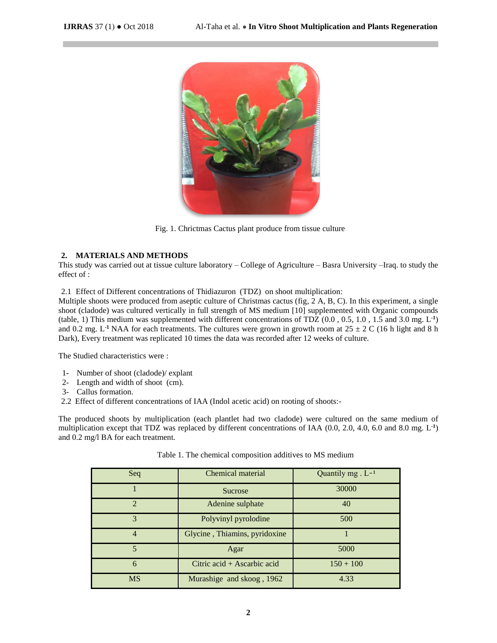

Fig. 1. Chrictmas Cactus plant produce from tissue culture

# **2. MATERIALS AND METHODS**

This study was carried out at tissue culture laboratory – College of Agriculture – Basra University –Iraq. to study the effect of :

2.1 Effect of Different concentrations of Thidiazuron (TDZ) on shoot multiplication:

Multiple shoots were produced from aseptic culture of Christmas cactus (fig, 2 A, B, C). In this experiment, a single shoot (cladode) was cultured vertically in full strength of MS medium [10] supplemented with Organic compounds (table, 1) This medium was supplemented with different concentrations of TDZ  $(0.0, 0.5, 1.0, 1.5, 1.0, 3.0, 1.5)$ and 0.2 mg. L<sup>-1</sup> NAA for each treatments. The cultures were grown in growth room at  $25 \pm 2$  C (16 h light and 8 h Dark), Every treatment was replicated 10 times the data was recorded after 12 weeks of culture.

The Studied characteristics were :

- 1- Number of shoot (cladode)/ explant
- 2- Length and width of shoot (cm).
- 3- Callus formation.
- 2.2 Effect of different concentrations of IAA (Indol acetic acid) on rooting of shoots:-

The produced shoots by multiplication (each plantlet had two cladode) were cultured on the same medium of multiplication except that TDZ was replaced by different concentrations of IAA (0.0, 2.0, 4.0, 6.0 and 8.0 mg. L<sup>-1</sup>) and 0.2 mg/l BA for each treatment.

| Seq                         | Chemical material                           | Quantily $mg \cdot L^{-1}$ |  |
|-----------------------------|---------------------------------------------|----------------------------|--|
|                             | Sucrose                                     | 30000                      |  |
| $\mathcal{D}_{\mathcal{A}}$ | Adenine sulphate                            | 40                         |  |
| 3                           | Polyvinyl pyrolodine                        | 500                        |  |
| $\overline{4}$              | Glycine, Thiamins, pyridoxine               |                            |  |
| $\overline{5}$              | Agar                                        | 5000                       |  |
| 6                           | Citric $\alpha$ cid + Ascarbic $\alpha$ cid | $150 + 100$                |  |
| <b>MS</b>                   | Murashige and skoog, 1962                   | 4.33                       |  |

Table 1. The chemical composition additives to MS medium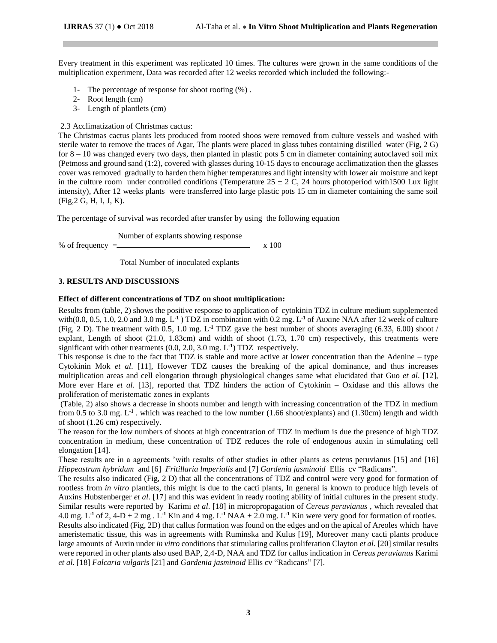Every treatment in this experiment was replicated 10 times. The cultures were grown in the same conditions of the multiplication experiment, Data was recorded after 12 weeks recorded which included the following:-

- 1- The percentage of response for shoot rooting (%) .
- 2- Root length (cm)
- 3- Length of plantlets (cm)

#### 2.3 Acclimatization of Christmas cactus:

The Christmas cactus plants lets produced from rooted shoos were removed from culture vessels and washed with sterile water to remove the traces of Agar, The plants were placed in glass tubes containing distilled water (Fig, 2 G) for  $8 - 10$  was changed every two days, then planted in plastic pots 5 cm in diameter containing autoclaved soil mix (Petmoss and ground sand (1:2), covered with glasses during 10-15 days to encourage acclimatization then the glasses cover was removed gradually to harden them higher temperatures and light intensity with lower air moisture and kept in the culture room under controlled conditions (Temperature  $25 \pm 2$  C, 24 hours photoperiod with1500 Lux light intensity), After 12 weeks plants were transferred into large plastic pots 15 cm in diameter containing the same soil (Fig,2 G, H, I, J, K).

The percentage of survival was recorded after transfer by using the following equation

Number of explants showing response

% of frequency  $=$   $x 100$ 

Total Number of inoculated explants

# **3. RESULTS AND DISCUSSIONS**

# **Effect of different concentrations of TDZ on shoot multiplication:**

Results from (table, 2) shows the positive response to application of cytokinin TDZ in culture medium supplemented with $(0.0, 0.5, 1.0, 2.0$  and  $3.0$  mg.  $L^{-1}$ ) TDZ in combination with  $0.2$  mg.  $L^{-1}$  of Auxine NAA after 12 week of culture (Fig, 2 D). The treatment with  $0.5$ ,  $1.0$  mg.  $L<sup>1</sup> TDZ$  gave the best number of shoots averaging  $(6.33, 6.00)$  shoot / explant, Length of shoot (21.0, 1.83cm) and width of shoot (1.73, 1.70 cm) respectively, this treatments were significant with other treatments (0.0, 2.0, 3.0 mg. L **-1** ) TDZ respectively.

This response is due to the fact that TDZ is stable and more active at lower concentration than the Adenine – type Cytokinin Mok *et al*. [11], However TDZ causes the breaking of the apical dominance, and thus increases multiplication areas and cell elongation through physiological changes same what elucidated that Guo *et al*. [12], More ever Hare *et al*. [13], reported that TDZ hinders the action of Cytokinin – Oxidase and this allows the proliferation of meristematic zones in explants

(Table, 2) also shows a decrease in shoots number and length with increasing concentration of the TDZ in medium from 0.5 to 3.0 mg.  $L<sup>-1</sup>$ . which was reached to the low number (1.66 shoot/explants) and (1.30cm) length and width of shoot (1.26 cm) respectively.

The reason for the low numbers of shoots at high concentration of TDZ in medium is due the presence of high TDZ concentration in medium, these concentration of TDZ reduces the role of endogenous auxin in stimulating cell elongation [14].

These results are in a agreements 'with results of other studies in other plants as ceteus peruvianus [15] and [16] *Hippeastrum hybridum* and [6] *Fritillaria lmperialis* and [7] *Gardenia jasminoid* Ellis cv "Radicans".

The results also indicated (Fig, 2 D) that all the concentrations of TDZ and control were very good for formation of rootless from *in vitro* plantlets, this might is due to the cacti plants, In general is known to produce high levels of Auxins Hubstenberger *et al*. [17] and this was evident in ready rooting ability of initial cultures in the present study. Similar results were reported by Karimi *et al*. [18] in micropropagation of *Cereus peruvianus* , which revealed that 4.0 mg.  $L^{-1}$  of 2, 4-D + 2 mg .  $L^{-1}$  Kin and 4 mg.  $L^{-1}$  NAA + 2.0 mg.  $L^{-1}$  Kin were very good for formation of rootles. Results also indicated (Fig, 2D) that callus formation was found on the edges and on the apical of Areoles which have ameristematic tissue, this was in agreements with Ruminska and Kulus [19], Moreover many cacti plants produce large amounts of Auxin under *in vitro* conditions that stimulating callus proliferation Clayton *et al*. [20] similar results were reported in other plants also used BAP, 2,4-D, NAA and TDZ for callus indication in *Cereus peruvianus* Karimi *et al*. [18] *Falcaria vulgaris* [21] and *Gardenia jasminoid* Ellis cv "Radicans" [7].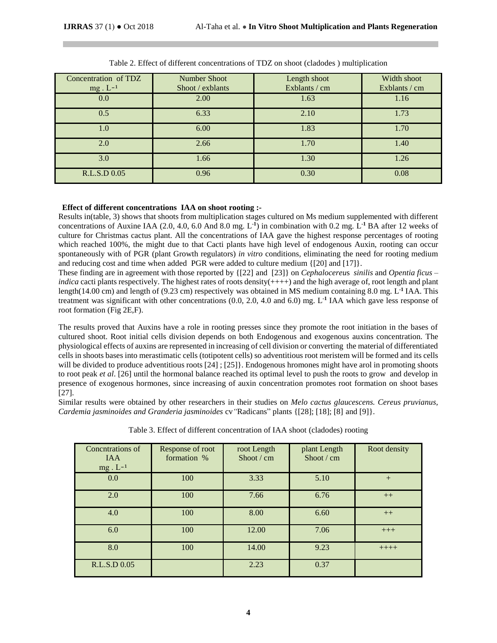| Concentration of TDZ<br>$mg \tcdot L^{-1}$ | <b>Number Shoot</b><br>Shoot / exblants | Length shoot<br>Exblants / cm | Width shoot<br>Exblants / cm |
|--------------------------------------------|-----------------------------------------|-------------------------------|------------------------------|
| 0.0                                        | 2.00                                    | 1.63                          | 1.16                         |
| 0.5                                        | 6.33                                    | 2.10                          | 1.73                         |
| 1.0                                        | 6.00                                    | 1.83                          | 1.70                         |
| 2.0                                        | 2.66                                    | 1.70                          | 1.40                         |
| 3.0                                        | 1.66                                    | 1.30                          | 1.26                         |
| R.L.S.D 0.05                               | 0.96                                    | 0.30                          | 0.08                         |

|  | Table 2. Effect of different concentrations of TDZ on shoot (cladodes) multiplication |  |  |  |
|--|---------------------------------------------------------------------------------------|--|--|--|
|  |                                                                                       |  |  |  |

# **Effect of different concentrations IAA on shoot rooting :-**

Results in(table, 3) shows that shoots from multiplication stages cultured on Ms medium supplemented with different concentrations of Auxine IAA (2.0, 4.0, 6.0 And 8.0 mg. L<sup>-1</sup>) in combination with 0.2 mg. L<sup>-1</sup> BA after 12 weeks of culture for Christmas cactus plant. All the concentrations of IAA gave the highest response percentages of rooting which reached 100%, the might due to that Cacti plants have high level of endogenous Auxin, rooting can occur spontaneously with of PGR (plant Growth regulators) *in vitro* conditions, eliminating the need for rooting medium and reducing cost and time when added PGR were added to culture medium {[20] and [17]}.

These finding are in agreement with those reported by {[22] and [23]} on *Cephalocereu*s *sinilis* and *Opentia ficus – indica* cacti plants respectively. The highest rates of roots density(++++) and the high average of, root length and plant length(14.00 cm) and length of (9.23 cm) respectively was obtained in MS medium containing 8.0 mg. L<sup>-1</sup> IAA. This treatment was significant with other concentrations (0.0, 2.0, 4.0 and 6.0) mg. L<sup>1</sup> IAA which gave less response of root formation (Fig 2E,F).

The results proved that Auxins have a role in rooting presses since they promote the root initiation in the bases of cultured shoot. Root initial cells division depends on both Endogenous and exogenous auxins concentration. The physiological effects of auxins are represented in increasing of cell division or converting the material of differentiated cells in shoots bases into merastimatic cells (totipotent cells) so adventitious root meristem will be formed and its cells will be divided to produce adventitious roots [24] ; [25] }. Endogenous hromones might have arol in promoting shoots to root peak *et al*. [26] until the hormonal balance reached its optimal level to push the roots to grow and develop in presence of exogenous hormones, since increasing of auxin concentration promotes root formation on shoot bases [27].

Similar results were obtained by other researchers in their studies on *Melo cactus glaucescens. Cereus pruvianus, Cardemia jasminoides and Granderia jasminoides* cv*"*Radicans" plants {[28]; [18]; [8] and [9]}.

| Concutrations of<br><b>IAA</b><br>$mg \cdot L^{-1}$ | Response of root<br>formation % | root Length<br>Shoot $\ell$ cm | plant Length<br>Shoot / cm | Root density |
|-----------------------------------------------------|---------------------------------|--------------------------------|----------------------------|--------------|
| 0.0                                                 | 100                             | 3.33                           | 5.10                       | $+$          |
| 2.0                                                 | 100                             | 7.66                           | 6.76                       | $++$         |
| 4.0                                                 | 100                             | 8.00                           | 6.60                       | $++$         |
| 6.0                                                 | 100                             | 12.00                          | 7.06                       | $+++$        |
| 8.0                                                 | 100                             | 14.00                          | 9.23                       | $+++++$      |
| R.L.S.D 0.05                                        |                                 | 2.23                           | 0.37                       |              |

Table 3. Effect of different concentration of IAA shoot (cladodes) rooting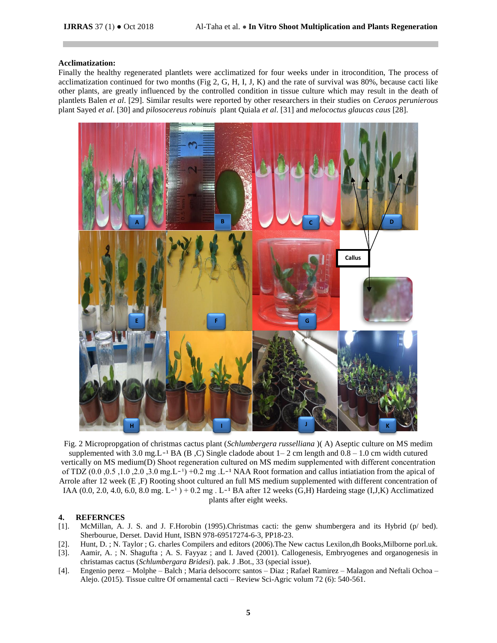#### **Acclimatization:**

Finally the healthy regenerated plantlets were acclimatized for four weeks under in itrocondition, The process of acclimatization continued for two months (Fig 2, G, H, I, J, K) and the rate of survival was  $80\%$ , because cacti like other plants, are greatly influenced by the controlled condition in tissue culture which may result in the death of plantlets Balen *et al*. [29]. Similar results were reported by other researchers in their studies on *Ceraos perunierous* plant Sayed *et al*. [30] and *pilosocereus robinuis* plant Quiala *et al*. [31] and *melococtus glaucas caus* [28].



Fig. 2 Micropropgation of christmas cactus plant (*Schlumbergera russelliana* )( A) Aseptic culture on MS medim supplemented with 3.0 mg.L<sup>-1</sup> BA (B,C) Single cladode about  $1-2$  cm length and  $0.8-1.0$  cm width cutured vertically on MS medium(D) Shoot regeneration cultured on MS medim supplemented with different concentration of TDZ  $(0.0, 0.5, 1.0, 2.0, 3.0 \text{ mg.L}^{-1}) +0.2 \text{ mg.L}^{-1}$  NAA Root formation and callus intiatiation from the apical of Arrole after 12 week (E ,F) Rooting shoot cultured an full MS medium supplemented with different concentration of IAA  $(0.0, 2.0, 4.0, 6.0, 8.0$  mg. L<sup>-1</sup>  $)$  + 0.2 mg. L<sup>-1</sup> BA after 12 weeks (G,H) Hardeing stage (I,J,K) Acclimatized plants after eight weeks.

#### **4. REFERNCES**

- [1]. McMillan, A. J. S. and J. F.Horobin (1995).Christmas cacti: the genw shumbergera and its Hybrid (p/ bed). Sherbourue, Derset. David Hunt, ISBN 978-69517274-6-3, PP18-23.
- [2]. Hunt, D. ; N. Taylor ; G. charles Compilers and editors (2006).The New cactus Lexilon,dh Books,Milborne porl.uk.
- [3]. Aamir, A. ; N. Shagufta ; A. S. Fayyaz ; and I. Javed (2001). Callogenesis, Embryogenes and organogenesis in christamas cactus (*Schlumbergara Bridesi*). pak. J .Bot., 33 (special issue).
- [4]. Engenio perez Molphe Balch ; Maria delsocorrc santos Diaz ; Rafael Ramirez Malagon and Neftali Ochoa Alejo. (2015). Tissue cultre Of ornamental cacti – Review Sci-Agric volum 72 (6): 540-561.